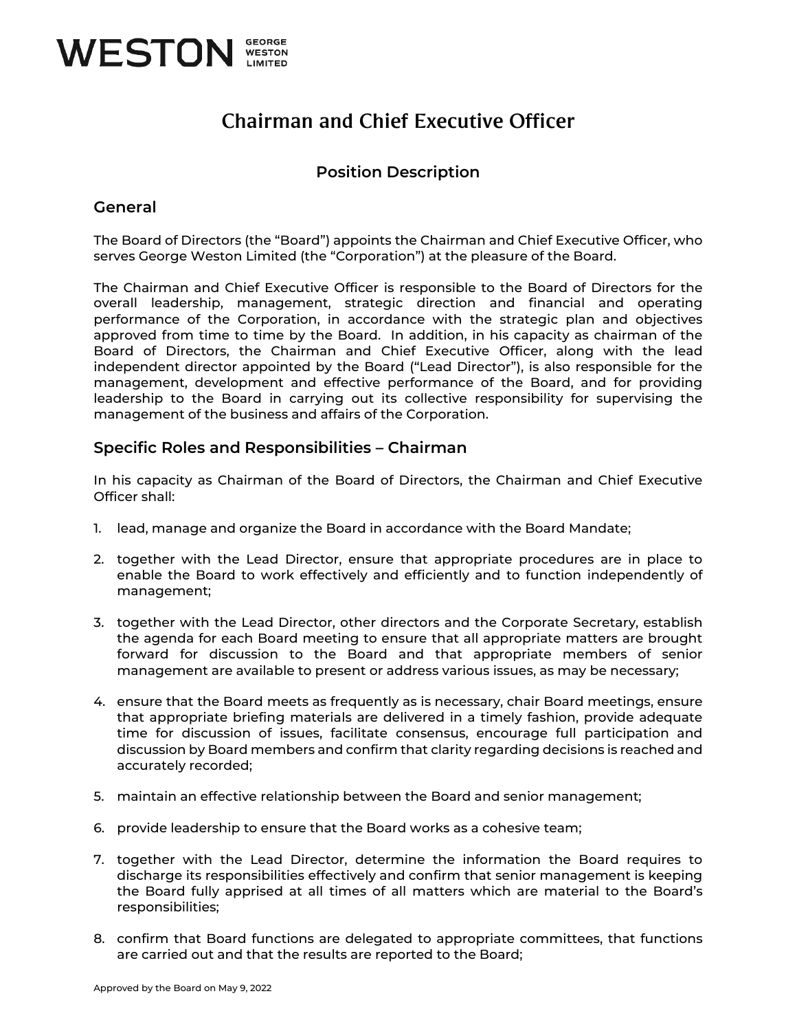

# Chairman and Chief Executive Officer

## **Position Description**

### **General**

The Board of Directors (the "Board") appoints the Chairman and Chief Executive Officer, who serves George Weston Limited (the "Corporation") at the pleasure of the Board.

The Chairman and Chief Executive Officer is responsible to the Board of Directors for the overall leadership, management, strategic direction and financial and operating performance of the Corporation, in accordance with the strategic plan and objectives approved from time to time by the Board. In addition, in his capacity as chairman of the Board of Directors, the Chairman and Chief Executive Officer, along with the lead independent director appointed by the Board ("Lead Director"), is also responsible for the management, development and effective performance of the Board, and for providing leadership to the Board in carrying out its collective responsibility for supervising the management of the business and affairs of the Corporation.

### **Specific Roles and Responsibilities – Chairman**

In his capacity as Chairman of the Board of Directors, the Chairman and Chief Executive Officer shall:

- 1. lead, manage and organize the Board in accordance with the Board Mandate;
- 2. together with the Lead Director, ensure that appropriate procedures are in place to enable the Board to work effectively and efficiently and to function independently of management;
- 3. together with the Lead Director, other directors and the Corporate Secretary, establish the agenda for each Board meeting to ensure that all appropriate matters are brought forward for discussion to the Board and that appropriate members of senior management are available to present or address various issues, as may be necessary;
- 4. ensure that the Board meets as frequently as is necessary, chair Board meetings, ensure that appropriate briefing materials are delivered in a timely fashion, provide adequate time for discussion of issues, facilitate consensus, encourage full participation and discussion by Board members and confirm that clarity regarding decisions is reached and accurately recorded;
- 5. maintain an effective relationship between the Board and senior management;
- 6. provide leadership to ensure that the Board works as a cohesive team;
- 7. together with the Lead Director, determine the information the Board requires to discharge its responsibilities effectively and confirm that senior management is keeping the Board fully apprised at all times of all matters which are material to the Board's responsibilities;
- 8. confirm that Board functions are delegated to appropriate committees, that functions are carried out and that the results are reported to the Board;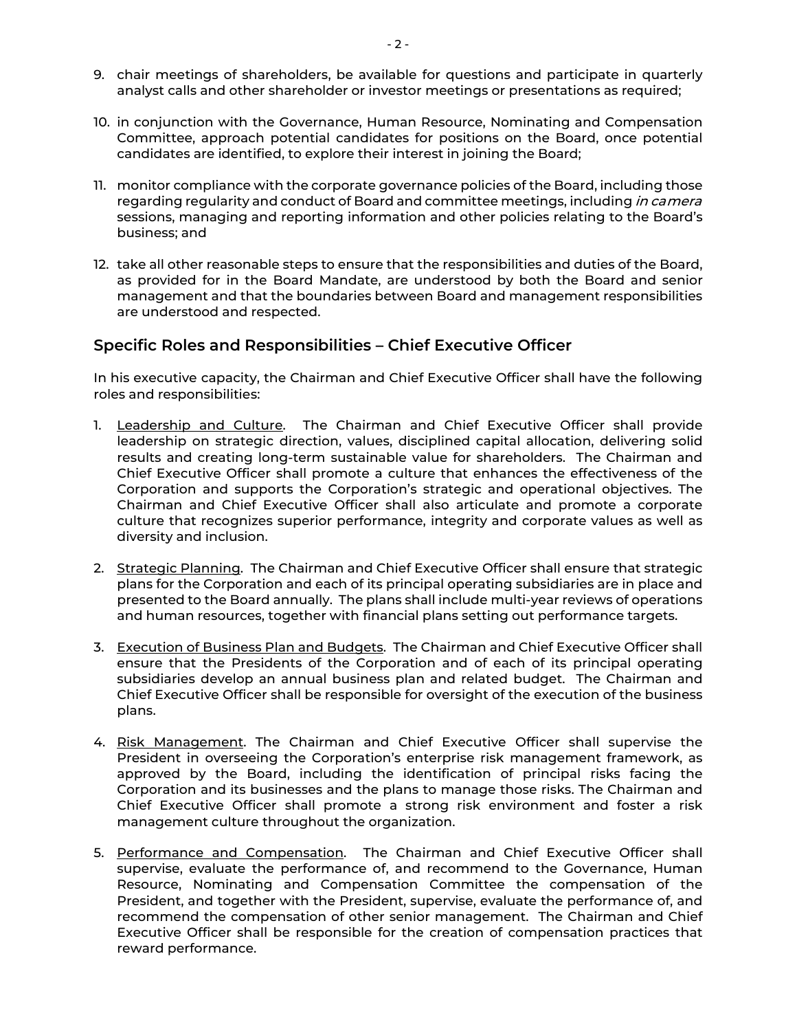- 9. chair meetings of shareholders, be available for questions and participate in quarterly analyst calls and other shareholder or investor meetings or presentations as required;
- 10. in conjunction with the Governance, Human Resource, Nominating and Compensation Committee, approach potential candidates for positions on the Board, once potential candidates are identified, to explore their interest in joining the Board;
- 11. monitor compliance with the corporate governance policies of the Board, including those regarding regularity and conduct of Board and committee meetings, including in camera sessions, managing and reporting information and other policies relating to the Board's business; and
- 12. take all other reasonable steps to ensure that the responsibilities and duties of the Board, as provided for in the Board Mandate, are understood by both the Board and senior management and that the boundaries between Board and management responsibilities are understood and respected.

#### **Specific Roles and Responsibilities – Chief Executive Officer**

In his executive capacity, the Chairman and Chief Executive Officer shall have the following roles and responsibilities:

- 1. Leadership and Culture. The Chairman and Chief Executive Officer shall provide leadership on strategic direction, values, disciplined capital allocation, delivering solid results and creating long-term sustainable value for shareholders. The Chairman and Chief Executive Officer shall promote a culture that enhances the effectiveness of the Corporation and supports the Corporation's strategic and operational objectives. The Chairman and Chief Executive Officer shall also articulate and promote a corporate culture that recognizes superior performance, integrity and corporate values as well as diversity and inclusion.
- 2. Strategic Planning. The Chairman and Chief Executive Officer shall ensure that strategic plans for the Corporation and each of its principal operating subsidiaries are in place and presented to the Board annually. The plans shall include multi-year reviews of operations and human resources, together with financial plans setting out performance targets.
- 3. Execution of Business Plan and Budgets. The Chairman and Chief Executive Officer shall ensure that the Presidents of the Corporation and of each of its principal operating subsidiaries develop an annual business plan and related budget. The Chairman and Chief Executive Officer shall be responsible for oversight of the execution of the business plans.
- 4. Risk Management. The Chairman and Chief Executive Officer shall supervise the President in overseeing the Corporation's enterprise risk management framework, as approved by the Board, including the identification of principal risks facing the Corporation and its businesses and the plans to manage those risks. The Chairman and Chief Executive Officer shall promote a strong risk environment and foster a risk management culture throughout the organization.
- 5. Performance and Compensation. The Chairman and Chief Executive Officer shall supervise, evaluate the performance of, and recommend to the Governance, Human Resource, Nominating and Compensation Committee the compensation of the President, and together with the President, supervise, evaluate the performance of, and recommend the compensation of other senior management. The Chairman and Chief Executive Officer shall be responsible for the creation of compensation practices that reward performance.